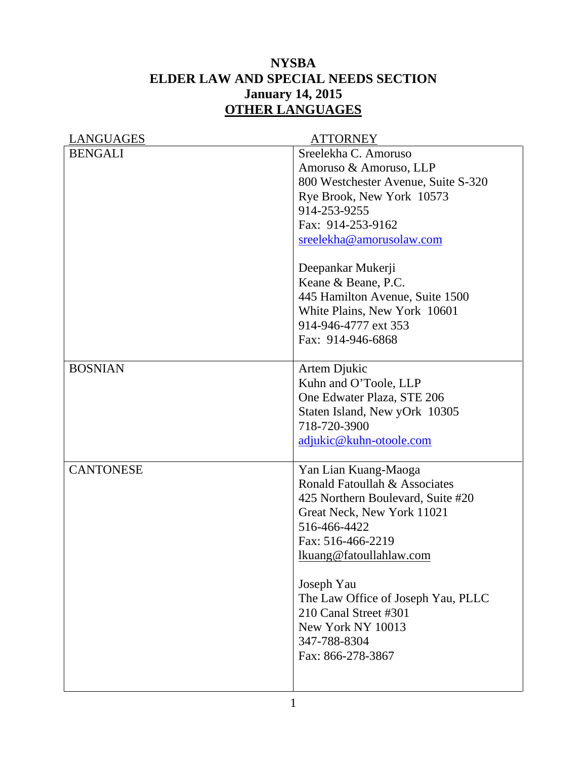## **NYSBA ELDER LAW AND SPECIAL NEEDS SECTION January 14, 2015 OTHER LANGUAGES**

| LANGUAGES        | <b>ATTORNEY</b>                           |
|------------------|-------------------------------------------|
| <b>BENGALI</b>   | Sreelekha C. Amoruso                      |
|                  | Amoruso & Amoruso, LLP                    |
|                  | 800 Westchester Avenue, Suite S-320       |
|                  | Rye Brook, New York 10573                 |
|                  | 914-253-9255                              |
|                  | Fax: 914-253-9162                         |
|                  | sreelekha@amorusolaw.com                  |
|                  |                                           |
|                  | Deepankar Mukerji                         |
|                  | Keane & Beane, P.C.                       |
|                  | 445 Hamilton Avenue, Suite 1500           |
|                  | White Plains, New York 10601              |
|                  | 914-946-4777 ext 353<br>Fax: 914-946-6868 |
|                  |                                           |
| <b>BOSNIAN</b>   | Artem Djukic                              |
|                  | Kuhn and O'Toole, LLP                     |
|                  | One Edwater Plaza, STE 206                |
|                  | Staten Island, New yOrk 10305             |
|                  | 718-720-3900                              |
|                  | adjukic@kuhn-otoole.com                   |
|                  |                                           |
| <b>CANTONESE</b> | Yan Lian Kuang-Maoga                      |
|                  | Ronald Fatoullah & Associates             |
|                  | 425 Northern Boulevard, Suite #20         |
|                  | Great Neck, New York 11021                |
|                  | 516-466-4422                              |
|                  | Fax: 516-466-2219                         |
|                  | lkuang@fatoullahlaw.com                   |
|                  | Joseph Yau                                |
|                  | The Law Office of Joseph Yau, PLLC        |
|                  | 210 Canal Street #301                     |
|                  | New York NY 10013                         |
|                  | 347-788-8304                              |
|                  | Fax: 866-278-3867                         |
|                  |                                           |
|                  |                                           |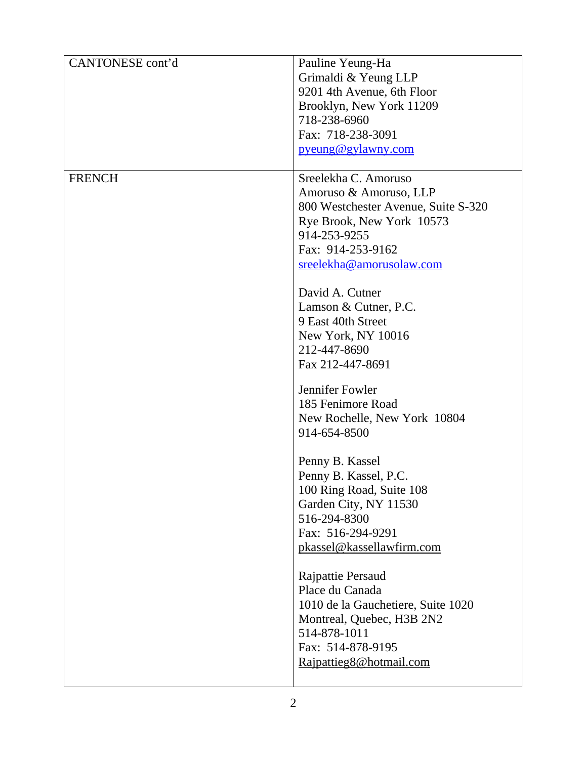| CANTONESE cont'd | Pauline Yeung-Ha                    |
|------------------|-------------------------------------|
|                  | Grimaldi & Yeung LLP                |
|                  | 9201 4th Avenue, 6th Floor          |
|                  | Brooklyn, New York 11209            |
|                  | 718-238-6960                        |
|                  | Fax: 718-238-3091                   |
|                  |                                     |
|                  | pyeung@gylawny.com                  |
| <b>FRENCH</b>    | Sreelekha C. Amoruso                |
|                  | Amoruso & Amoruso, LLP              |
|                  | 800 Westchester Avenue, Suite S-320 |
|                  | Rye Brook, New York 10573           |
|                  | 914-253-9255                        |
|                  | Fax: 914-253-9162                   |
|                  | sreelekha@amorusolaw.com            |
|                  | David A. Cutner                     |
|                  |                                     |
|                  | Lamson & Cutner, P.C.               |
|                  | 9 East 40th Street                  |
|                  | New York, NY 10016                  |
|                  | 212-447-8690                        |
|                  | Fax 212-447-8691                    |
|                  | Jennifer Fowler                     |
|                  | 185 Fenimore Road                   |
|                  | New Rochelle, New York 10804        |
|                  | 914-654-8500                        |
|                  |                                     |
|                  | Penny B. Kassel                     |
|                  | Penny B. Kassel, P.C.               |
|                  | 100 Ring Road, Suite 108            |
|                  | Garden City, NY 11530               |
|                  | 516-294-8300                        |
|                  | Fax: 516-294-9291                   |
|                  | pkassel@kassellawfirm.com           |
|                  |                                     |
|                  | Rajpattie Persaud                   |
|                  | Place du Canada                     |
|                  | 1010 de la Gauchetiere, Suite 1020  |
|                  | Montreal, Quebec, H3B 2N2           |
|                  | 514-878-1011                        |
|                  | Fax: 514-878-9195                   |
|                  | Rajpattieg8@hotmail.com             |
|                  |                                     |
|                  |                                     |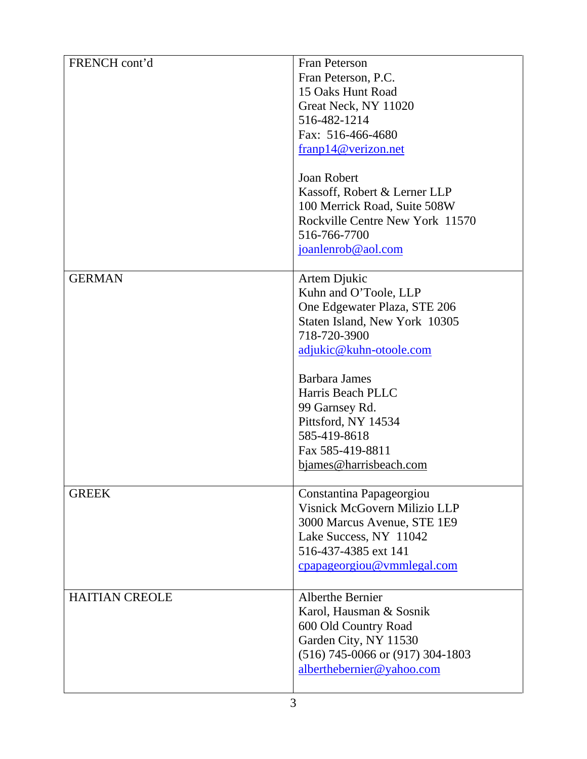| FRENCH cont'd         | Fran Peterson                        |
|-----------------------|--------------------------------------|
|                       | Fran Peterson, P.C.                  |
|                       | 15 Oaks Hunt Road                    |
|                       |                                      |
|                       | Great Neck, NY 11020                 |
|                       | 516-482-1214                         |
|                       | Fax: 516-466-4680                    |
|                       | franp14@verizon.net                  |
|                       | <b>Joan Robert</b>                   |
|                       | Kassoff, Robert & Lerner LLP         |
|                       | 100 Merrick Road, Suite 508W         |
|                       | Rockville Centre New York 11570      |
|                       | 516-766-7700                         |
|                       | joanlenrob@aol.com                   |
|                       |                                      |
| <b>GERMAN</b>         | Artem Djukic                         |
|                       | Kuhn and O'Toole, LLP                |
|                       | One Edgewater Plaza, STE 206         |
|                       | Staten Island, New York 10305        |
|                       | 718-720-3900                         |
|                       | adjukic@kuhn-otoole.com              |
|                       |                                      |
|                       | <b>Barbara James</b>                 |
|                       | Harris Beach PLLC                    |
|                       | 99 Garnsey Rd.                       |
|                       | Pittsford, NY 14534                  |
|                       | 585-419-8618                         |
|                       | Fax 585-419-8811                     |
|                       |                                      |
|                       | bjames@harrisbeach.com               |
| <b>GREEK</b>          | Constantina Papageorgiou             |
|                       | Visnick McGovern Milizio LLP         |
|                       | 3000 Marcus Avenue, STE 1E9          |
|                       | Lake Success, NY 11042               |
|                       | 516-437-4385 ext 141                 |
|                       | cpapageorgiou@vmmlegal.com           |
|                       |                                      |
| <b>HAITIAN CREOLE</b> | <b>Alberthe Bernier</b>              |
|                       | Karol, Hausman & Sosnik              |
|                       | 600 Old Country Road                 |
|                       | Garden City, NY 11530                |
|                       |                                      |
|                       | $(516)$ 745-0066 or $(917)$ 304-1803 |
|                       | alberthebernier@yahoo.com            |
|                       |                                      |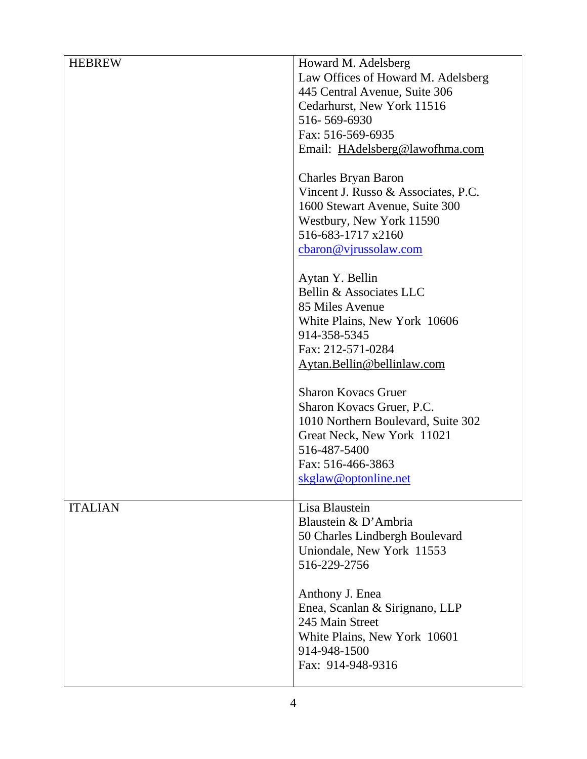| <b>HEBREW</b>  | Howard M. Adelsberg<br>Law Offices of Howard M. Adelsberg<br>445 Central Avenue, Suite 306<br>Cedarhurst, New York 11516<br>516-569-6930<br>Fax: 516-569-6935<br>Email: HAdelsberg@lawofhma.com |
|----------------|-------------------------------------------------------------------------------------------------------------------------------------------------------------------------------------------------|
|                | <b>Charles Bryan Baron</b><br>Vincent J. Russo & Associates, P.C.<br>1600 Stewart Avenue, Suite 300<br>Westbury, New York 11590<br>516-683-1717 x2160<br>cbaron@vjrussolaw.com                  |
|                | Aytan Y. Bellin<br>Bellin & Associates LLC<br>85 Miles Avenue<br>White Plains, New York 10606<br>914-358-5345<br>Fax: 212-571-0284<br>Aytan.Bellin@bellinlaw.com                                |
|                | <b>Sharon Kovacs Gruer</b><br>Sharon Kovacs Gruer, P.C.<br>1010 Northern Boulevard, Suite 302<br>Great Neck, New York 11021<br>516-487-5400<br>Fax: 516-466-3863<br>skglaw@optonline.net        |
| <b>ITALIAN</b> | Lisa Blaustein<br>Blaustein & D'Ambria<br>50 Charles Lindbergh Boulevard<br>Uniondale, New York 11553<br>516-229-2756                                                                           |
|                | Anthony J. Enea<br>Enea, Scanlan & Sirignano, LLP<br>245 Main Street<br>White Plains, New York 10601<br>914-948-1500<br>Fax: 914-948-9316                                                       |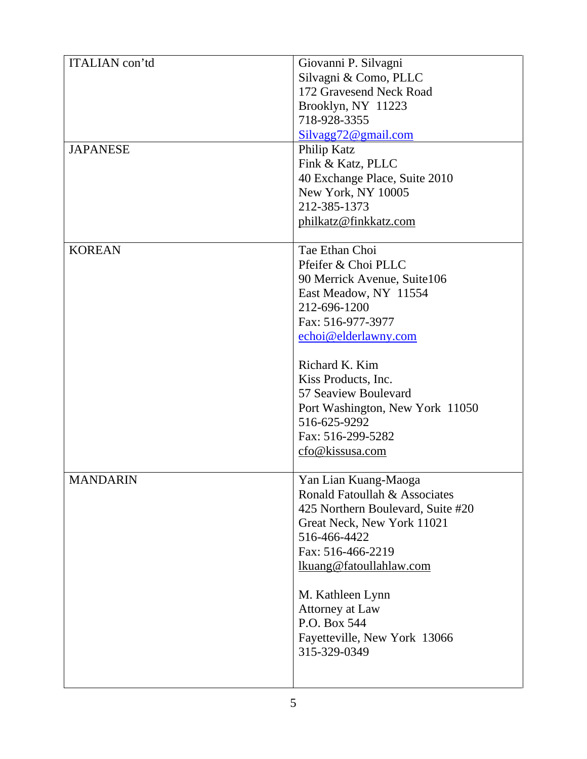| ITALIAN con'td<br><b>JAPANESE</b> | Giovanni P. Silvagni<br>Silvagni & Como, PLLC<br>172 Gravesend Neck Road<br>Brooklyn, NY 11223<br>718-928-3355<br>Silvagg72@gmail.com<br>Philip Katz                                                                                                                                                                   |
|-----------------------------------|------------------------------------------------------------------------------------------------------------------------------------------------------------------------------------------------------------------------------------------------------------------------------------------------------------------------|
|                                   | Fink & Katz, PLLC<br>40 Exchange Place, Suite 2010<br>New York, NY 10005<br>212-385-1373<br>philkatz@finkkatz.com                                                                                                                                                                                                      |
| <b>KOREAN</b>                     | Tae Ethan Choi<br>Pfeifer & Choi PLLC<br>90 Merrick Avenue, Suite106<br>East Meadow, NY 11554<br>212-696-1200<br>Fax: 516-977-3977<br>echoi@elderlawny.com<br>Richard K. Kim<br>Kiss Products, Inc.<br>57 Seaview Boulevard<br>Port Washington, New York 11050<br>516-625-9292<br>Fax: 516-299-5282<br>cfo@kissusa.com |
| <b>MANDARIN</b>                   | Yan Lian Kuang-Maoga<br>Ronald Fatoullah & Associates<br>425 Northern Boulevard, Suite #20<br>Great Neck, New York 11021<br>516-466-4422<br>Fax: 516-466-2219<br>lkuang@fatoullahlaw.com<br>M. Kathleen Lynn<br>Attorney at Law<br>P.O. Box 544<br>Fayetteville, New York 13066<br>315-329-0349                        |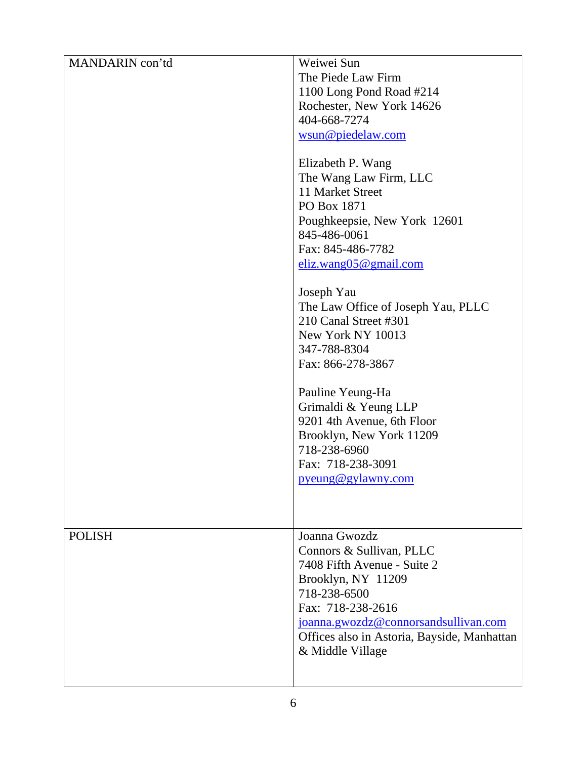| MANDARIN con'td | Weiwei Sun                                  |
|-----------------|---------------------------------------------|
|                 | The Piede Law Firm                          |
|                 | 1100 Long Pond Road #214                    |
|                 | Rochester, New York 14626                   |
|                 | 404-668-7274                                |
|                 | wsun@piedelaw.com                           |
|                 |                                             |
|                 | Elizabeth P. Wang                           |
|                 | The Wang Law Firm, LLC                      |
|                 | 11 Market Street                            |
|                 | PO Box 1871                                 |
|                 | Poughkeepsie, New York 12601                |
|                 | 845-486-0061                                |
|                 | Fax: 845-486-7782                           |
|                 | eliz.wang05@gmail.com                       |
|                 |                                             |
|                 | Joseph Yau                                  |
|                 | The Law Office of Joseph Yau, PLLC          |
|                 | 210 Canal Street #301                       |
|                 | New York NY 10013                           |
|                 | 347-788-8304                                |
|                 | Fax: 866-278-3867                           |
|                 | Pauline Yeung-Ha                            |
|                 | Grimaldi & Yeung LLP                        |
|                 | 9201 4th Avenue, 6th Floor                  |
|                 | Brooklyn, New York 11209                    |
|                 | 718-238-6960                                |
|                 | Fax: 718-238-3091                           |
|                 | pyeung@gylawny.com                          |
|                 |                                             |
|                 |                                             |
|                 |                                             |
| <b>POLISH</b>   | Joanna Gwozdz                               |
|                 | Connors & Sullivan, PLLC                    |
|                 | 7408 Fifth Avenue - Suite 2                 |
|                 | Brooklyn, NY 11209                          |
|                 | 718-238-6500                                |
|                 | Fax: 718-238-2616                           |
|                 | joanna.gwozdz@connorsandsullivan.com        |
|                 | Offices also in Astoria, Bayside, Manhattan |
|                 | & Middle Village                            |
|                 |                                             |
|                 |                                             |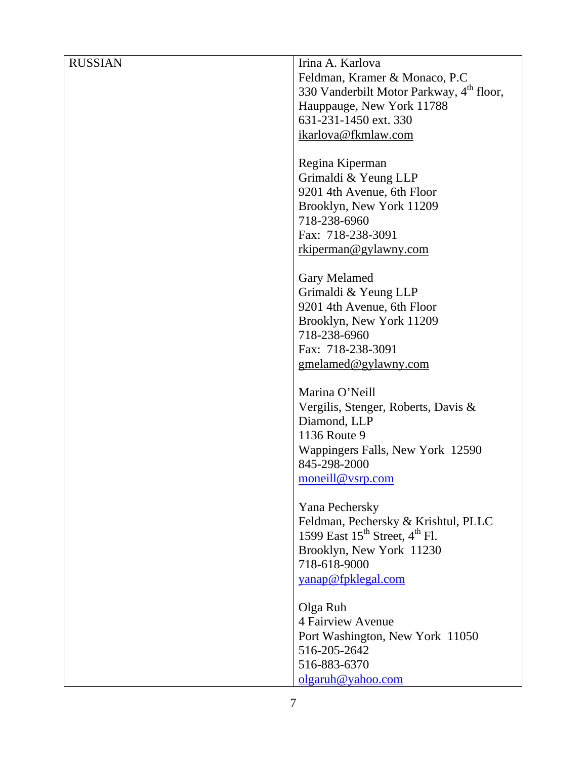| <b>RUSSIAN</b> | Irina A. Karlova                                     |
|----------------|------------------------------------------------------|
|                | Feldman, Kramer & Monaco, P.C.                       |
|                | 330 Vanderbilt Motor Parkway, 4 <sup>th</sup> floor, |
|                | Hauppauge, New York 11788                            |
|                | 631-231-1450 ext. 330                                |
|                | ikarlova@fkmlaw.com                                  |
|                |                                                      |
|                | Regina Kiperman                                      |
|                | Grimaldi & Yeung LLP                                 |
|                | 9201 4th Avenue, 6th Floor                           |
|                | Brooklyn, New York 11209                             |
|                | 718-238-6960                                         |
|                | Fax: 718-238-3091                                    |
|                | rkiperman@gylawny.com                                |
|                |                                                      |
|                | Gary Melamed                                         |
|                | Grimaldi & Yeung LLP                                 |
|                | 9201 4th Avenue, 6th Floor                           |
|                | Brooklyn, New York 11209                             |
|                | 718-238-6960                                         |
|                | Fax: 718-238-3091                                    |
|                | gmelamed@gylawny.com                                 |
|                |                                                      |
|                | Marina O'Neill                                       |
|                | Vergilis, Stenger, Roberts, Davis &                  |
|                | Diamond, LLP                                         |
|                | 1136 Route 9                                         |
|                | Wappingers Falls, New York 12590                     |
|                | 845-298-2000                                         |
|                | moneill@vsrp.com                                     |
|                |                                                      |
|                | Yana Pechersky                                       |
|                | Feldman, Pechersky & Krishtul, PLLC                  |
|                | 1599 East $15^{th}$ Street, $4^{th}$ Fl.             |
|                | Brooklyn, New York 11230                             |
|                | 718-618-9000                                         |
|                | yanap@fpklegal.com                                   |
|                |                                                      |
|                | Olga Ruh                                             |
|                | 4 Fairview Avenue                                    |
|                | Port Washington, New York 11050                      |
|                | 516-205-2642                                         |
|                | 516-883-6370                                         |
|                | olgaruh@yahoo.com                                    |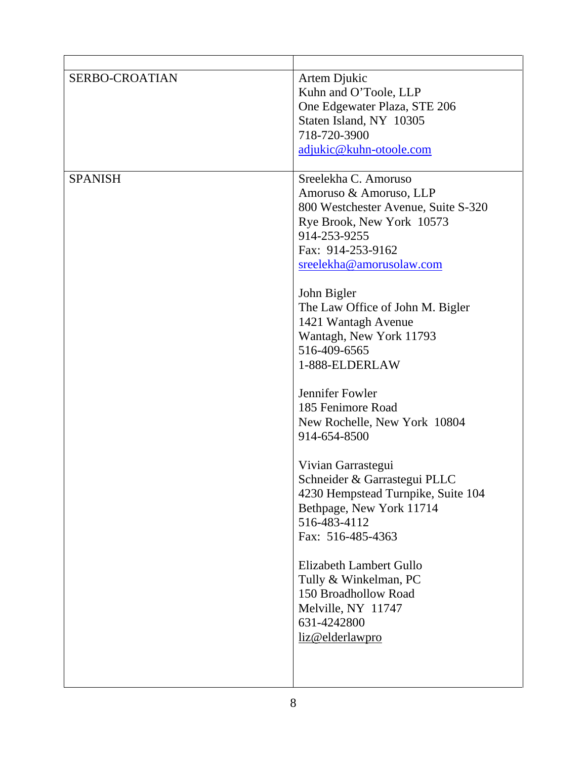| <b>SERBO-CROATIAN</b> | Artem Djukic<br>Kuhn and O'Toole, LLP<br>One Edgewater Plaza, STE 206<br>Staten Island, NY 10305<br>718-720-3900<br>adjukic@kuhn-otoole.com                                                                                                                                                                                                                                                                                                                                                                                                                                                                                                                                                                         |
|-----------------------|---------------------------------------------------------------------------------------------------------------------------------------------------------------------------------------------------------------------------------------------------------------------------------------------------------------------------------------------------------------------------------------------------------------------------------------------------------------------------------------------------------------------------------------------------------------------------------------------------------------------------------------------------------------------------------------------------------------------|
| <b>SPANISH</b>        | Sreelekha C. Amoruso<br>Amoruso & Amoruso, LLP<br>800 Westchester Avenue, Suite S-320<br>Rye Brook, New York 10573<br>914-253-9255<br>Fax: 914-253-9162<br>sreelekha@amorusolaw.com<br>John Bigler<br>The Law Office of John M. Bigler<br>1421 Wantagh Avenue<br>Wantagh, New York 11793<br>516-409-6565<br>1-888-ELDERLAW<br>Jennifer Fowler<br>185 Fenimore Road<br>New Rochelle, New York 10804<br>914-654-8500<br>Vivian Garrastegui<br>Schneider & Garrastegui PLLC<br>4230 Hempstead Turnpike, Suite 104<br>Bethpage, New York 11714<br>516-483-4112<br>Fax: 516-485-4363<br>Elizabeth Lambert Gullo<br>Tully & Winkelman, PC<br>150 Broadhollow Road<br>Melville, NY 11747<br>631-4242800<br>liz@elderlawpro |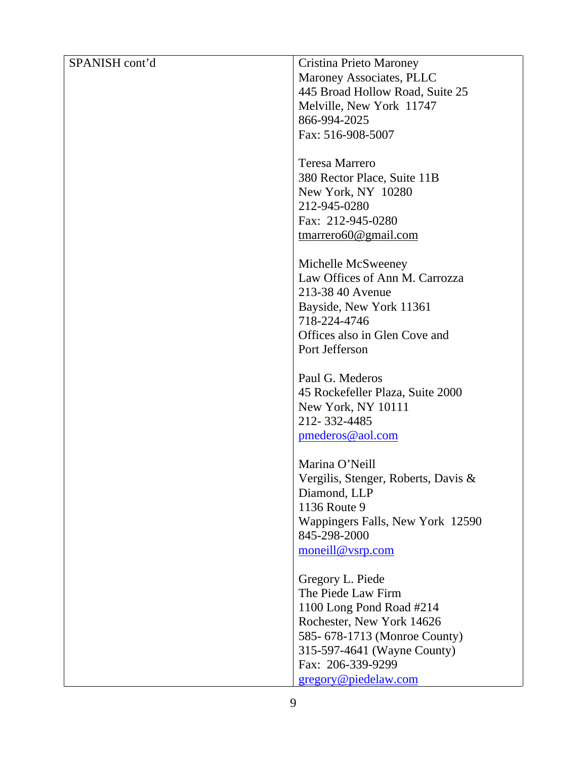| SPANISH cont'd | Cristina Prieto Maroney             |
|----------------|-------------------------------------|
|                | Maroney Associates, PLLC            |
|                | 445 Broad Hollow Road, Suite 25     |
|                | Melville, New York 11747            |
|                | 866-994-2025                        |
|                |                                     |
|                | Fax: 516-908-5007                   |
|                |                                     |
|                | Teresa Marrero                      |
|                | 380 Rector Place, Suite 11B         |
|                | New York, NY 10280                  |
|                | 212-945-0280                        |
|                | Fax: 212-945-0280                   |
|                | $t$ marrero60 $@$ gmail.com         |
|                |                                     |
|                | Michelle McSweeney                  |
|                | Law Offices of Ann M. Carrozza      |
|                | 213-38 40 Avenue                    |
|                |                                     |
|                | Bayside, New York 11361             |
|                | 718-224-4746                        |
|                | Offices also in Glen Cove and       |
|                | Port Jefferson                      |
|                |                                     |
|                | Paul G. Mederos                     |
|                | 45 Rockefeller Plaza, Suite 2000    |
|                | New York, NY 10111                  |
|                | 212-332-4485                        |
|                | pmederos@aol.com                    |
|                |                                     |
|                | Marina O'Neill                      |
|                | Vergilis, Stenger, Roberts, Davis & |
|                | Diamond, LLP                        |
|                | 1136 Route 9                        |
|                | Wappingers Falls, New York 12590    |
|                | 845-298-2000                        |
|                | moneill@vsrp.com                    |
|                |                                     |
|                | Gregory L. Piede                    |
|                | The Piede Law Firm                  |
|                |                                     |
|                | 1100 Long Pond Road #214            |
|                | Rochester, New York 14626           |
|                | 585-678-1713 (Monroe County)        |
|                | 315-597-4641 (Wayne County)         |
|                | Fax: 206-339-9299                   |
|                | gregory@piedelaw.com                |